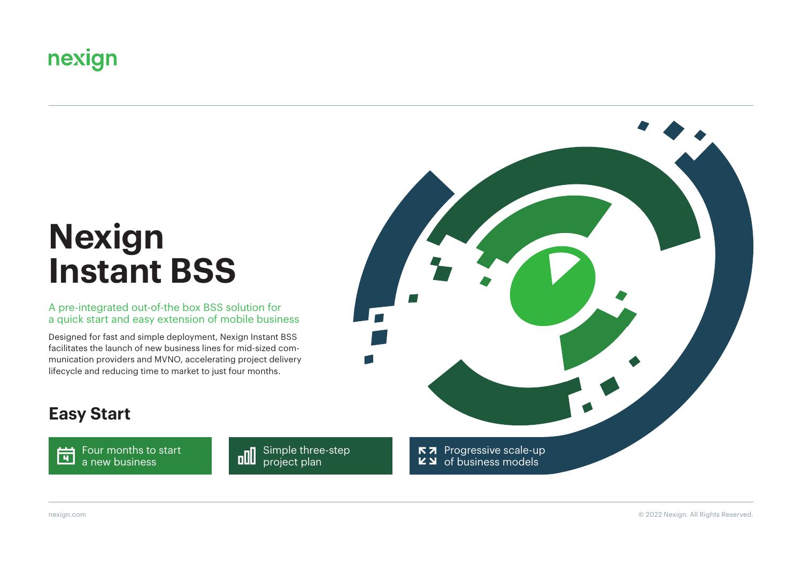## nexign

# **Nexign Instant BSS**

A pre-integrated out-of-the box BSS solution for a quick start and easy extension of mobile business

Designed for fast and simple deployment, Nexign Instant BSS facilitates the launch of new business lines for mid-sized communication providers and MVNO, accelerating project delivery lifecycle and reducing time to market to just four months.



### **Easy Start**

Four months to start **Four months to a** new business

**und** Simple three-step project plan

nexign.com © 2022 Nexign. All Rights Reserved.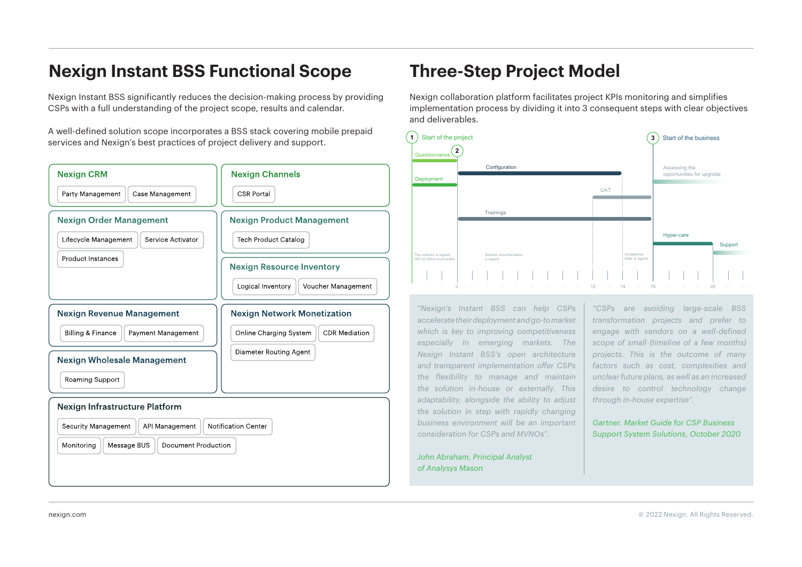### **Nexign Instant BSS Functional Scope Three-Step Project Model**

Nexign Instant BSS significantly reduces the decision-making process by providing CSPs with a full understanding of the project scope, results and calendar.

A well-defined solution scope incorporates a BSS stack covering mobile prepaid services and Nexign's best practices of project delivery and support.



Nexign collaboration platform facilitates project KPIs monitoring and simplifies implementation process by dividing it into 3 consequent steps with clear objectives and deliverables.



*"Nexign's Instant BSS can help CSPs accelerate their deployment and go-to market which is key to improving competitiveness especially in emerging markets. The Nexign Instant BSS's open architecture and transparent implementation offer CSPs the flexibility to manage and maintain the solution in-house or externally. This adaptability, alongside the ability to adjust the solution in step with rapidly changing business environment will be an important consideration for CSPs and MVNOs".*

*John Abraham, Principal Analyst of Analysys Mason*

*"CSPs are avoiding large-scale BSS transformation projects and prefer to engage with vendors on a well-defined scope of small (timeline of a few months) projects. This is the outcome of many factors such as cost, complexities and unclear future plans, as well as an increased desire to control technology change through in-house expertise".*

*Gartner. Market Guide for CSP Business Support System Solutions, October 2020*